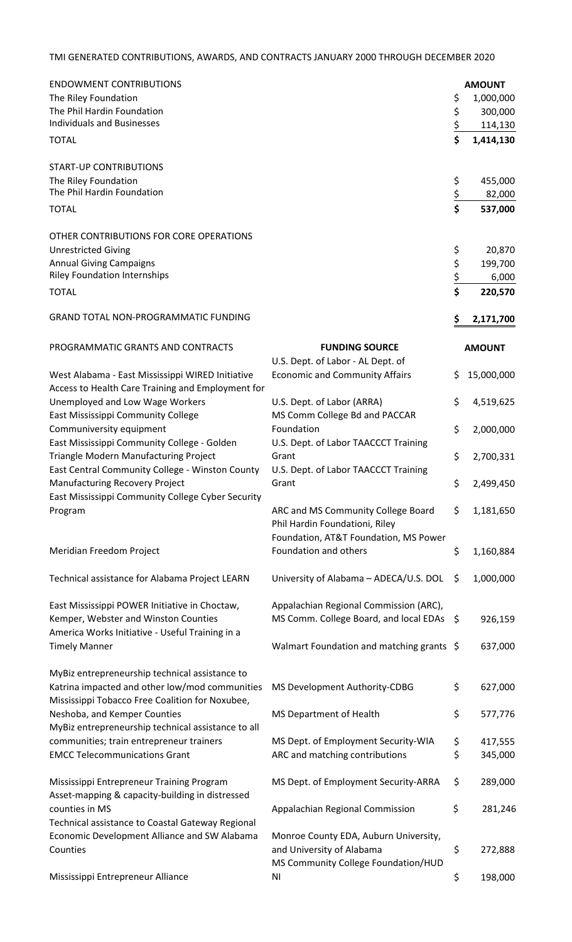## TMI GENERATED CONTRIBUTIONS, AWARDS, AND CONTRACTS JANUARY 2000 THROUGH DECEMBER 2020

| <b>ENDOWMENT CONTRIBUTIONS</b>                                                                        |                                           |     | <b>AMOUNT</b> |
|-------------------------------------------------------------------------------------------------------|-------------------------------------------|-----|---------------|
| The Riley Foundation                                                                                  |                                           | \$  | 1,000,000     |
| The Phil Hardin Foundation                                                                            |                                           | \$  | 300,000       |
| <b>Individuals and Businesses</b>                                                                     |                                           | \$  | 114,130       |
| <b>TOTAL</b>                                                                                          |                                           | \$  | 1,414,130     |
| <b>START-UP CONTRIBUTIONS</b>                                                                         |                                           |     |               |
| The Riley Foundation                                                                                  |                                           | \$  | 455,000       |
| The Phil Hardin Foundation                                                                            |                                           | \$  | 82,000        |
| <b>TOTAL</b>                                                                                          |                                           | \$  | 537,000       |
| OTHER CONTRIBUTIONS FOR CORE OPERATIONS                                                               |                                           |     |               |
| <b>Unrestricted Giving</b>                                                                            |                                           | \$  | 20,870        |
| <b>Annual Giving Campaigns</b>                                                                        |                                           | \$  | 199,700       |
| <b>Riley Foundation Internships</b>                                                                   |                                           | \$  | 6,000         |
| <b>TOTAL</b>                                                                                          |                                           | \$  | 220,570       |
|                                                                                                       |                                           |     |               |
| <b>GRAND TOTAL NON-PROGRAMMATIC FUNDING</b>                                                           |                                           | Ş   | 2,171,700     |
| PROGRAMMATIC GRANTS AND CONTRACTS                                                                     | <b>FUNDING SOURCE</b>                     |     | <b>AMOUNT</b> |
|                                                                                                       | U.S. Dept. of Labor - AL Dept. of         |     |               |
| West Alabama - East Mississippi WIRED Initiative<br>Access to Health Care Training and Employment for | <b>Economic and Community Affairs</b>     | \$. | 15,000,000    |
| Unemployed and Low Wage Workers                                                                       | U.S. Dept. of Labor (ARRA)                | \$  | 4,519,625     |
| East Mississippi Community College                                                                    | MS Comm College Bd and PACCAR             |     |               |
| Communiversity equipment                                                                              | Foundation                                | \$  | 2,000,000     |
| East Mississippi Community College - Golden                                                           | U.S. Dept. of Labor TAACCCT Training      |     |               |
| Triangle Modern Manufacturing Project                                                                 | Grant                                     | \$  | 2,700,331     |
| East Central Community College - Winston County                                                       | U.S. Dept. of Labor TAACCCT Training      |     |               |
| Manufacturing Recovery Project                                                                        | Grant                                     | \$  | 2,499,450     |
| East Mississippi Community College Cyber Security<br>Program                                          | ARC and MS Community College Board        | \$. | 1,181,650     |
|                                                                                                       | Phil Hardin Foundationi, Riley            |     |               |
|                                                                                                       | Foundation, AT&T Foundation, MS Power     |     |               |
| Meridian Freedom Project                                                                              | Foundation and others                     | \$  | 1,160,884     |
|                                                                                                       |                                           |     |               |
| Technical assistance for Alabama Project LEARN                                                        | University of Alabama - ADECA/U.S. DOL    | \$  | 1,000,000     |
| East Mississippi POWER Initiative in Choctaw,                                                         | Appalachian Regional Commission (ARC),    |     |               |
| Kemper, Webster and Winston Counties                                                                  | MS Comm. College Board, and local EDAs    | \$  | 926,159       |
| America Works Initiative - Useful Training in a                                                       |                                           |     |               |
| <b>Timely Manner</b>                                                                                  | Walmart Foundation and matching grants \$ |     | 637,000       |
| MyBiz entrepreneurship technical assistance to                                                        |                                           |     |               |
| Katrina impacted and other low/mod communities                                                        | MS Development Authority-CDBG             | \$  | 627,000       |
| Mississippi Tobacco Free Coalition for Noxubee,                                                       |                                           |     |               |
| Neshoba, and Kemper Counties                                                                          | MS Department of Health                   | \$  | 577,776       |
| MyBiz entrepreneurship technical assistance to all                                                    |                                           |     |               |
| communities; train entrepreneur trainers                                                              | MS Dept. of Employment Security-WIA       | \$  | 417,555       |
| <b>EMCC Telecommunications Grant</b>                                                                  | ARC and matching contributions            | \$  | 345,000       |
|                                                                                                       |                                           |     |               |
| Mississippi Entrepreneur Training Program                                                             | MS Dept. of Employment Security-ARRA      | \$  | 289,000       |
| Asset-mapping & capacity-building in distressed                                                       |                                           |     |               |
| counties in MS                                                                                        | Appalachian Regional Commission           | \$  | 281,246       |
| Technical assistance to Coastal Gateway Regional                                                      |                                           |     |               |
| Economic Development Alliance and SW Alabama                                                          | Monroe County EDA, Auburn University,     |     |               |
| Counties                                                                                              | and University of Alabama                 | \$  | 272,888       |
|                                                                                                       | MS Community College Foundation/HUD       |     |               |
| Mississippi Entrepreneur Alliance                                                                     | ΝI                                        | \$  | 198,000       |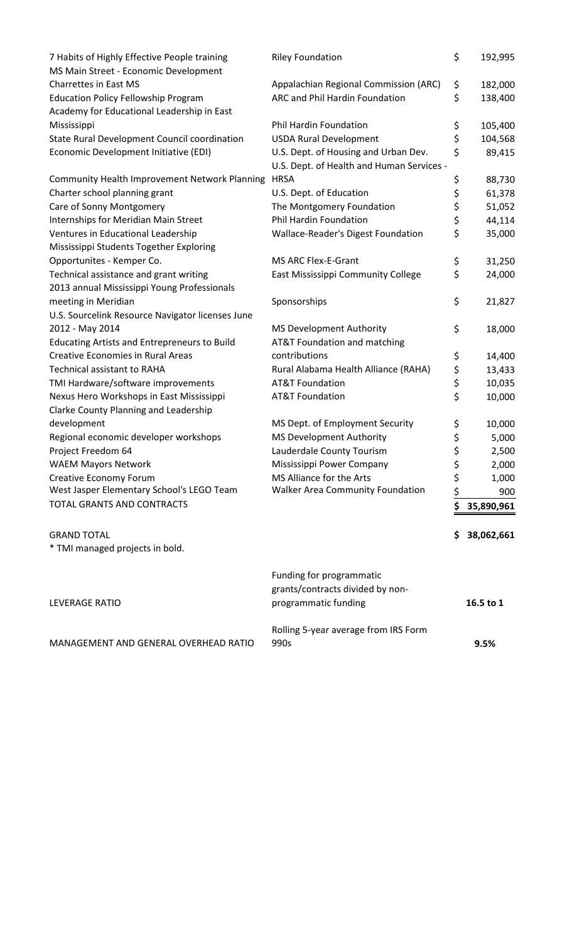|                                                                                                 | Rolling 5-year average from IRS Form                                                 |          |            |
|-------------------------------------------------------------------------------------------------|--------------------------------------------------------------------------------------|----------|------------|
| LEVERAGE RATIO                                                                                  | Funding for programmatic<br>grants/contracts divided by non-<br>programmatic funding |          | 16.5 to 1  |
| <b>GRAND TOTAL</b><br>* TMI managed projects in bold.                                           |                                                                                      | s        | 38,062,661 |
| TOTAL GRANTS AND CONTRACTS                                                                      |                                                                                      | \$       | 35,890,961 |
| West Jasper Elementary School's LEGO Team                                                       | <b>Walker Area Community Foundation</b>                                              | \$       | 900        |
| <b>Creative Economy Forum</b>                                                                   | MS Alliance for the Arts                                                             | \$       | 1,000      |
| <b>WAEM Mayors Network</b>                                                                      | Mississippi Power Company                                                            | \$       | 2,000      |
| Project Freedom 64                                                                              | Lauderdale County Tourism                                                            | \$       | 2,500      |
| Regional economic developer workshops                                                           | <b>MS Development Authority</b>                                                      | \$       | 5,000      |
| development                                                                                     | MS Dept. of Employment Security                                                      | \$       | 10,000     |
| Clarke County Planning and Leadership                                                           |                                                                                      |          | 10,000     |
| TMI Hardware/software improvements<br>Nexus Hero Workshops in East Mississippi                  | <b>AT&amp;T Foundation</b>                                                           | \$<br>\$ | 10,035     |
|                                                                                                 | <b>AT&amp;T Foundation</b>                                                           |          | 13,433     |
| <b>Technical assistant to RAHA</b>                                                              | Rural Alabama Health Alliance (RAHA)                                                 | \$<br>\$ | 14,400     |
| <b>Educating Artists and Entrepreneurs to Build</b><br><b>Creative Economies in Rural Areas</b> | AT&T Foundation and matching<br>contributions                                        |          |            |
| 2012 - May 2014                                                                                 | <b>MS Development Authority</b>                                                      | \$       | 18,000     |
| U.S. Sourcelink Resource Navigator licenses June                                                |                                                                                      |          |            |
| meeting in Meridian                                                                             | Sponsorships                                                                         |          | 21,827     |
| 2013 annual Mississippi Young Professionals                                                     |                                                                                      | \$       |            |
| Technical assistance and grant writing                                                          | East Mississippi Community College                                                   | \$       | 24,000     |
| Opportunites - Kemper Co.                                                                       | <b>MS ARC Flex-E-Grant</b>                                                           | \$       | 31,250     |
| Mississippi Students Together Exploring                                                         |                                                                                      |          |            |
| Ventures in Educational Leadership                                                              | Wallace-Reader's Digest Foundation                                                   | \$       | 35,000     |
| Internships for Meridian Main Street                                                            | Phil Hardin Foundation                                                               | \$       | 44,114     |
| Care of Sonny Montgomery                                                                        | The Montgomery Foundation                                                            | \$       | 51,052     |
| Charter school planning grant                                                                   | U.S. Dept. of Education                                                              | \$       | 61,378     |
| <b>Community Health Improvement Network Planning</b>                                            | <b>HRSA</b>                                                                          | \$       | 88,730     |
|                                                                                                 | U.S. Dept. of Health and Human Services -                                            |          |            |
| Economic Development Initiative (EDI)                                                           | U.S. Dept. of Housing and Urban Dev.                                                 | \$       | 89,415     |
| State Rural Development Council coordination                                                    | <b>USDA Rural Development</b>                                                        | \$       | 104,568    |
| Mississippi                                                                                     | Phil Hardin Foundation                                                               | \$       | 105,400    |
| Academy for Educational Leadership in East                                                      |                                                                                      |          |            |
| <b>Education Policy Fellowship Program</b>                                                      | ARC and Phil Hardin Foundation                                                       | \$       | 138,400    |
| Charrettes in East MS                                                                           | Appalachian Regional Commission (ARC)                                                | \$       | 182,000    |
| MS Main Street - Economic Development                                                           |                                                                                      |          |            |
| 7 Habits of Highly Effective People training                                                    | <b>Riley Foundation</b>                                                              | \$       | 192,995    |

MANAGEMENT AND GENERAL OVERHEAD RATIO

990s **9.5%**